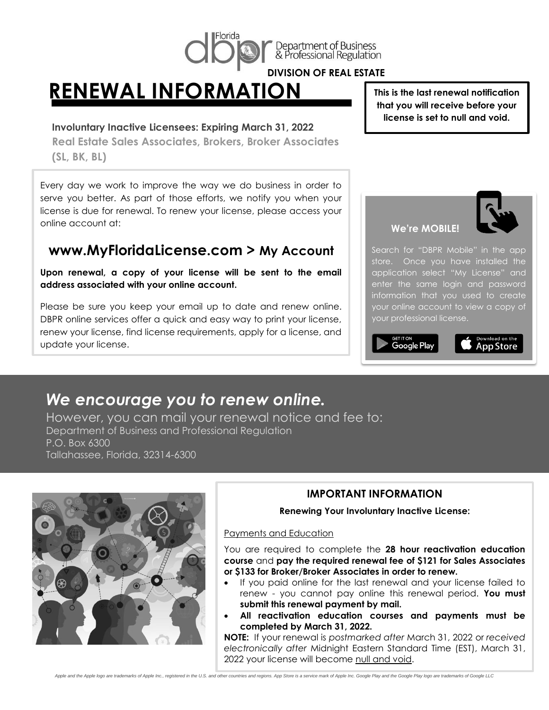

Department of Business<br>& Professional Regulation

**DIVISION OF REAL ESTATE**

## **RENEWAL INFORMATION**

#### **Involuntary Inactive Licensees: Expiring March 31, 2022**

**Real Estate Sales Associates, Brokers, Broker Associates (SL, BK, BL)**

Every day we work to improve the way we do business in order to serve you better. As part of those efforts, we notify you when your license is due for renewal. To renew your license, please access your online account at:

### **www.MyFloridaLicense.com > My Account**

**Upon renewal, a copy of your license will be sent to the email address associated with your online account.**

Please be sure you keep your email up to date and renew online. DBPR online services offer a quick and easy way to print your license, renew your license, find license requirements, apply for a license, and update your license.

**This is the last renewal notification that you will receive before your license is set to null and void.**

#### **We're MOBILE!**



Search for "DBPR Mobile" in the app store. Once you have installed the application select "My License" and enter the same login and password information that you used to create your online account to view a copy of your professional license.



## App Store

## *We encourage you to renew online.*

However, you can mail your renewal notice and fee to: Department of Business and Professional Regulation P.O. Box 6300 Tallahassee, Florida, 32314-6300



#### **IMPORTANT INFORMATION**

# **Renewing Your Involuntary Inactive License:**<br>|d Education

#### Payments and Education

You are required to complete the **28 hour reactivation education course** and **pay the required renewal fee of \$121 for Sales Associates or \$133 for Broker/Broker Associates in order to renew.**

- If you paid online for the last renewal and your license failed to renew - you cannot pay online this renewal period. **You must submit this renewal payment by mail.**
- **All reactivation education courses and payments must be completed by March 31, 2022.**

**NOTE:** If your renewal is *postmarked after* March 31, 2022 or *received electronically after* Midnight Eastern Standard Time (EST), March 31, 2022 your license will become null and void.

Apple and the Apple logo are trademarks of Apple Inc., registered in the U.S. and other countries and regions. App Store is a service mark of Apple Inc. Google Play and the Google Play logo are trademarks of Google LLC